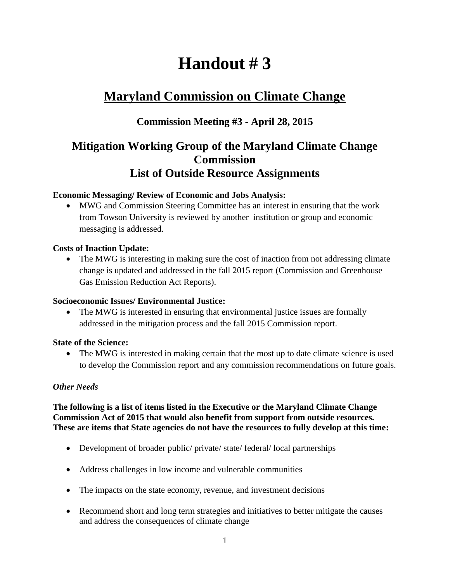# **Handout # 3**

# **Maryland Commission on Climate Change**

### **Commission Meeting #3 - April 28, 2015**

## **Mitigation Working Group of the Maryland Climate Change Commission List of Outside Resource Assignments**

#### **Economic Messaging/ Review of Economic and Jobs Analysis:**

 MWG and Commission Steering Committee has an interest in ensuring that the work from Towson University is reviewed by another institution or group and economic messaging is addressed.

#### **Costs of Inaction Update:**

• The MWG is interesting in making sure the cost of inaction from not addressing climate change is updated and addressed in the fall 2015 report (Commission and Greenhouse Gas Emission Reduction Act Reports).

#### **Socioeconomic Issues/ Environmental Justice:**

• The MWG is interested in ensuring that environmental justice issues are formally addressed in the mitigation process and the fall 2015 Commission report.

#### **State of the Science:**

• The MWG is interested in making certain that the most up to date climate science is used to develop the Commission report and any commission recommendations on future goals.

#### *Other Needs*

#### **The following is a list of items listed in the Executive or the Maryland Climate Change Commission Act of 2015 that would also benefit from support from outside resources. These are items that State agencies do not have the resources to fully develop at this time:**

- Development of broader public/ private/ state/ federal/ local partnerships
- Address challenges in low income and vulnerable communities
- The impacts on the state economy, revenue, and investment decisions
- Recommend short and long term strategies and initiatives to better mitigate the causes and address the consequences of climate change